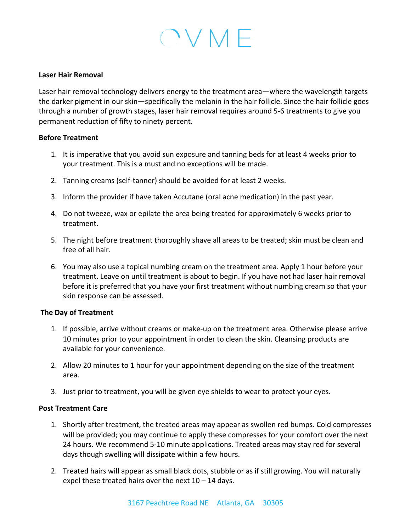## OVMF

#### Laser **Hair Removal**

Laser hair removal technology delivers energy to the treatment area—where the wavelength targets the darker pigment in our skin—specifically the melanin in the hair follicle. Since the hair follicle goes through a number of growth stages, laser hair removal requires around 5-6 treatments to give you permanent reduction of fifty to ninety percent.

#### **Before Treatment**

- 1. It is imperative that you avoid sun exposure and tanning beds for at least 4 weeks prior to your treatment. This is a must and no exceptions will be made.
- 2. Tanning creams (self-tanner) should be avoided for at least 2 weeks.
- 3. Inform the provider if have taken Accutane (oral acne medication) in the past year.
- 4. Do not tweeze, wax or epilate the area being treated for approximately 6 weeks prior to treatment.
- 5. The night before treatment thoroughly shave all areas to be treated; skin must be clean and free of all hair.
- 6. You may also use a topical numbing cream on the treatment area. Apply 1 hour before your treatment. Leave on until treatment is about to begin. If you have not had laser hair removal before it is preferred that you have your first treatment without numbing cream so that your skin response can be assessed.

#### **The Day of Treatment**

- 1. If possible, arrive without creams or make-up on the treatment area. Otherwise please arrive 10 minutes prior to your appointment in order to clean the skin. Cleansing products are available for your convenience.
- 2. Allow 20 minutes to 1 hour for your appointment depending on the size of the treatment area.
- 3. Just prior to treatment, you will be given eye shields to wear to protect your eyes.

#### **Post Treatment Care**

- 1. Shortly after treatment, the treated areas may appear as swollen red bumps. Cold compresses will be provided; you may continue to apply these compresses for your comfort over the next 24 hours. We recommend 5-10 minute applications. Treated areas may stay red for several days though swelling will dissipate within a few hours.
- 2. Treated hairs will appear as small black dots, stubble or as if still growing. You will naturally expel these treated hairs over the next  $10 - 14$  days.